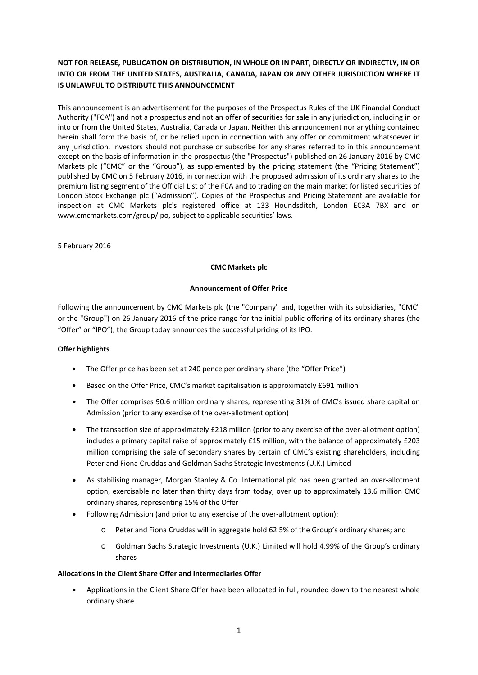## **NOT FOR RELEASE, PUBLICATION OR DISTRIBUTION, IN WHOLE OR IN PART, DIRECTLY OR INDIRECTLY, IN OR INTO OR FROM THE UNITED STATES, AUSTRALIA, CANADA, JAPAN OR ANY OTHER JURISDICTION WHERE IT IS UNLAWFUL TO DISTRIBUTE THIS ANNOUNCEMENT**

This announcement is an advertisement for the purposes of the Prospectus Rules of the UK Financial Conduct Authority ("FCA") and not a prospectus and not an offer of securities for sale in any jurisdiction, including in or into or from the United States, Australia, Canada or Japan. Neither this announcement nor anything contained herein shall form the basis of, or be relied upon in connection with any offer or commitment whatsoever in any jurisdiction. Investors should not purchase or subscribe for any shares referred to in this announcement except on the basis of information in the prospectus (the "Prospectus") published on 26 January 2016 by CMC Markets plc ("CMC" or the "Group"), as supplemented by the pricing statement (the "Pricing Statement") published by CMC on 5 February 2016, in connection with the proposed admission of its ordinary shares to the premium listing segment of the Official List of the FCA and to trading on the main market for listed securities of London Stock Exchange plc ("Admission"). Copies of the Prospectus and Pricing Statement are available for inspection at CMC Markets plc's registered office at 133 Houndsditch, London EC3A 7BX and on www.cmcmarkets.com/group/ipo, subject to applicable securities' laws.

5 February 2016

### **CMC Markets plc**

### **Announcement of Offer Price**

Following the announcement by CMC Markets plc (the "Company" and, together with its subsidiaries, "CMC" or the "Group") on 26 January 2016 of the price range for the initial public offering of its ordinary shares (the "Offer" or "IPO"), the Group today announces the successful pricing of its IPO.

### **Offer highlights**

- The Offer price has been set at 240 pence per ordinary share (the "Offer Price")
- Based on the Offer Price, CMC's market capitalisation is approximately £691 million
- The Offer comprises 90.6 million ordinary shares, representing 31% of CMC's issued share capital on Admission (prior to any exercise of the over‐allotment option)
- The transaction size of approximately £218 million (prior to any exercise of the over-allotment option) includes a primary capital raise of approximately £15 million, with the balance of approximately £203 million comprising the sale of secondary shares by certain of CMC's existing shareholders, including Peter and Fiona Cruddas and Goldman Sachs Strategic Investments (U.K.) Limited
- As stabilising manager, Morgan Stanley & Co. International plc has been granted an over‐allotment option, exercisable no later than thirty days from today, over up to approximately 13.6 million CMC ordinary shares, representing 15% of the Offer
- Following Admission (and prior to any exercise of the over-allotment option):
	- Peter and Fiona Cruddas will in aggregate hold 62.5% of the Group's ordinary shares; and
	- o Goldman Sachs Strategic Investments (U.K.) Limited will hold 4.99% of the Group's ordinary shares

### **Allocations in the Client Share Offer and Intermediaries Offer**

 Applications in the Client Share Offer have been allocated in full, rounded down to the nearest whole ordinary share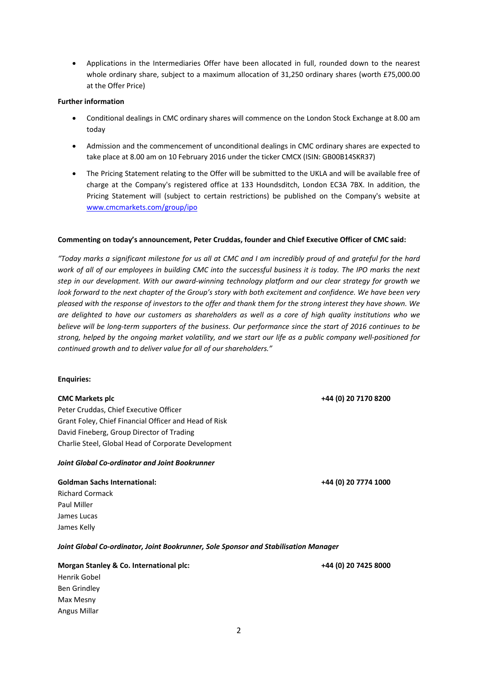Applications in the Intermediaries Offer have been allocated in full, rounded down to the nearest whole ordinary share, subject to a maximum allocation of 31,250 ordinary shares (worth £75,000.00 at the Offer Price)

### **Further information**

- Conditional dealings in CMC ordinary shares will commence on the London Stock Exchange at 8.00 am today
- Admission and the commencement of unconditional dealings in CMC ordinary shares are expected to take place at 8.00 am on 10 February 2016 under the ticker CMCX (ISIN: GB00B14SKR37)
- The Pricing Statement relating to the Offer will be submitted to the UKLA and will be available free of charge at the Company's registered office at 133 Houndsditch, London EC3A 7BX. In addition, the Pricing Statement will (subject to certain restrictions) be published on the Company's website at www.cmcmarkets.com/group/ipo

### **Commenting on today's announcement, Peter Cruddas, founder and Chief Executive Officer of CMC said:**

"Today marks a significant milestone for us all at CMC and I am incredibly proud of and grateful for the hard work of all of our employees in building CMC into the successful business it is today. The IPO marks the next step in our development. With our award-winning technology platform and our clear strategy for growth we look forward to the next chapter of the Group's story with both excitement and confidence. We have been very pleased with the response of investors to the offer and thank them for the strong interest they have shown. We are delighted to have our customers as shareholders as well as a core of high quality institutions who we believe will be long-term supporters of the business. Our performance since the start of 2016 continues to be strong, helped by the ongoing market volatility, and we start our life as a public company well-positioned for *continued growth and to deliver value for all of our shareholders."* 

### **Enquiries:**

Peter Cruddas, Chief Executive Officer Grant Foley, Chief Financial Officer and Head of Risk David Fineberg, Group Director of Trading Charlie Steel, Global Head of Corporate Development

### *Joint Global Co‐ordinator and Joint Bookrunner*

# **Goldman Sachs International: +44 (0) 20 7774 1000** Richard Cormack

Paul Miller James Lucas James Kelly

*Joint Global Co‐ordinator, Joint Bookrunner, Sole Sponsor and Stabilisation Manager*

### **Morgan Stanley & Co. International plc: +44 (0) 20 7425 8000**

Henrik Gobel Ben Grindley Max Mesny Angus Millar

### **CMC Markets plc +44 (0) 20 7170 8200**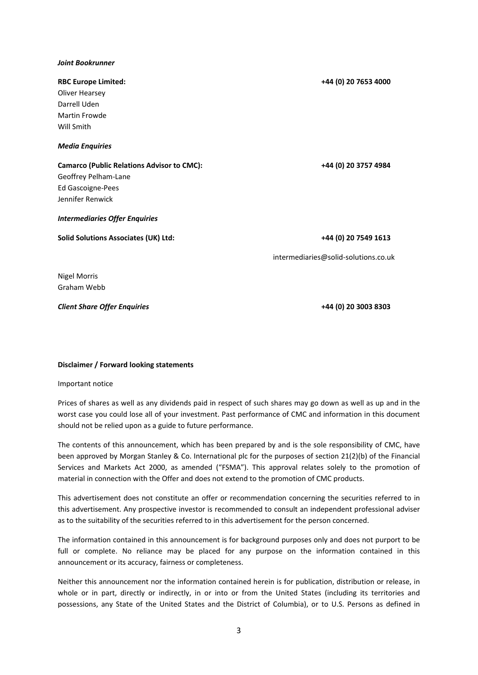### *Joint Bookrunner*

| <b>RBC Europe Limited:</b>                        | +44 (0) 20 7653 4000                 |
|---------------------------------------------------|--------------------------------------|
| <b>Oliver Hearsey</b>                             |                                      |
| Darrell Uden                                      |                                      |
| Martin Frowde                                     |                                      |
| Will Smith                                        |                                      |
| <b>Media Enquiries</b>                            |                                      |
| <b>Camarco (Public Relations Advisor to CMC):</b> | +44 (0) 20 3757 4984                 |
| Geoffrey Pelham-Lane                              |                                      |
| Ed Gascoigne-Pees                                 |                                      |
| Jennifer Renwick                                  |                                      |
| <b>Intermediaries Offer Enquiries</b>             |                                      |
| <b>Solid Solutions Associates (UK) Ltd:</b>       | +44 (0) 20 7549 1613                 |
|                                                   | intermediaries@solid-solutions.co.uk |
| <b>Nigel Morris</b>                               |                                      |
| Graham Webb                                       |                                      |

*Client Share Offer Enquiries*  **+44 (0) 20 3003 8303**

### **Disclaimer / Forward looking statements**

Important notice

Prices of shares as well as any dividends paid in respect of such shares may go down as well as up and in the worst case you could lose all of your investment. Past performance of CMC and information in this document should not be relied upon as a guide to future performance.

The contents of this announcement, which has been prepared by and is the sole responsibility of CMC, have been approved by Morgan Stanley & Co. International plc for the purposes of section 21(2)(b) of the Financial Services and Markets Act 2000, as amended ("FSMA"). This approval relates solely to the promotion of material in connection with the Offer and does not extend to the promotion of CMC products.

This advertisement does not constitute an offer or recommendation concerning the securities referred to in this advertisement. Any prospective investor is recommended to consult an independent professional adviser as to the suitability of the securities referred to in this advertisement for the person concerned.

The information contained in this announcement is for background purposes only and does not purport to be full or complete. No reliance may be placed for any purpose on the information contained in this announcement or its accuracy, fairness or completeness.

Neither this announcement nor the information contained herein is for publication, distribution or release, in whole or in part, directly or indirectly, in or into or from the United States (including its territories and possessions, any State of the United States and the District of Columbia), or to U.S. Persons as defined in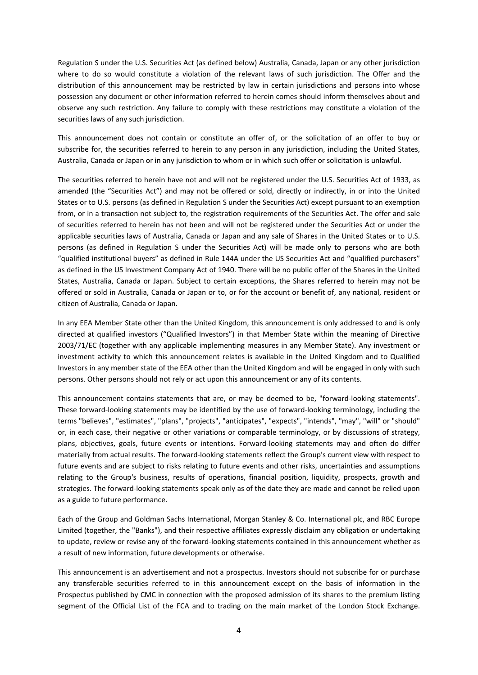Regulation S under the U.S. Securities Act (as defined below) Australia, Canada, Japan or any other jurisdiction where to do so would constitute a violation of the relevant laws of such jurisdiction. The Offer and the distribution of this announcement may be restricted by law in certain jurisdictions and persons into whose possession any document or other information referred to herein comes should inform themselves about and observe any such restriction. Any failure to comply with these restrictions may constitute a violation of the securities laws of any such jurisdiction.

This announcement does not contain or constitute an offer of, or the solicitation of an offer to buy or subscribe for, the securities referred to herein to any person in any jurisdiction, including the United States, Australia, Canada or Japan or in any jurisdiction to whom or in which such offer or solicitation is unlawful.

The securities referred to herein have not and will not be registered under the U.S. Securities Act of 1933, as amended (the "Securities Act") and may not be offered or sold, directly or indirectly, in or into the United States or to U.S. persons (as defined in Regulation S under the Securities Act) except pursuant to an exemption from, or in a transaction not subject to, the registration requirements of the Securities Act. The offer and sale of securities referred to herein has not been and will not be registered under the Securities Act or under the applicable securities laws of Australia, Canada or Japan and any sale of Shares in the United States or to U.S. persons (as defined in Regulation S under the Securities Act) will be made only to persons who are both "qualified institutional buyers" as defined in Rule 144A under the US Securities Act and "qualified purchasers" as defined in the US Investment Company Act of 1940. There will be no public offer of the Shares in the United States, Australia, Canada or Japan. Subject to certain exceptions, the Shares referred to herein may not be offered or sold in Australia, Canada or Japan or to, or for the account or benefit of, any national, resident or citizen of Australia, Canada or Japan.

In any EEA Member State other than the United Kingdom, this announcement is only addressed to and is only directed at qualified investors ("Qualified Investors") in that Member State within the meaning of Directive 2003/71/EC (together with any applicable implementing measures in any Member State). Any investment or investment activity to which this announcement relates is available in the United Kingdom and to Qualified Investors in any member state of the EEA other than the United Kingdom and will be engaged in only with such persons. Other persons should not rely or act upon this announcement or any of its contents.

This announcement contains statements that are, or may be deemed to be, "forward-looking statements". These forward‐looking statements may be identified by the use of forward‐looking terminology, including the terms "believes", "estimates", "plans", "projects", "anticipates", "expects", "intends", "may", "will" or "should" or, in each case, their negative or other variations or comparable terminology, or by discussions of strategy, plans, objectives, goals, future events or intentions. Forward‐looking statements may and often do differ materially from actual results. The forward‐looking statements reflect the Group's current view with respect to future events and are subject to risks relating to future events and other risks, uncertainties and assumptions relating to the Group's business, results of operations, financial position, liquidity, prospects, growth and strategies. The forward‐looking statements speak only as of the date they are made and cannot be relied upon as a guide to future performance.

Each of the Group and Goldman Sachs International, Morgan Stanley & Co. International plc, and RBC Europe Limited (together, the "Banks"), and their respective affiliates expressly disclaim any obligation or undertaking to update, review or revise any of the forward-looking statements contained in this announcement whether as a result of new information, future developments or otherwise.

This announcement is an advertisement and not a prospectus. Investors should not subscribe for or purchase any transferable securities referred to in this announcement except on the basis of information in the Prospectus published by CMC in connection with the proposed admission of its shares to the premium listing segment of the Official List of the FCA and to trading on the main market of the London Stock Exchange.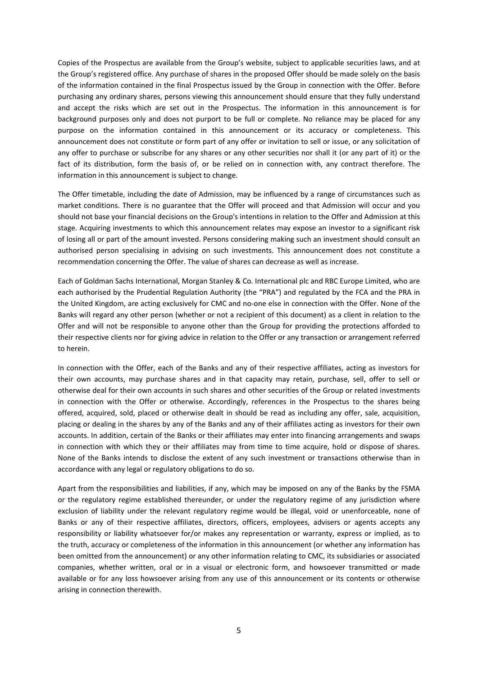Copies of the Prospectus are available from the Group's website, subject to applicable securities laws, and at the Group's registered office. Any purchase of shares in the proposed Offer should be made solely on the basis of the information contained in the final Prospectus issued by the Group in connection with the Offer. Before purchasing any ordinary shares, persons viewing this announcement should ensure that they fully understand and accept the risks which are set out in the Prospectus. The information in this announcement is for background purposes only and does not purport to be full or complete. No reliance may be placed for any purpose on the information contained in this announcement or its accuracy or completeness. This announcement does not constitute or form part of any offer or invitation to sell or issue, or any solicitation of any offer to purchase or subscribe for any shares or any other securities nor shall it (or any part of it) or the fact of its distribution, form the basis of, or be relied on in connection with, any contract therefore. The information in this announcement is subject to change.

The Offer timetable, including the date of Admission, may be influenced by a range of circumstances such as market conditions. There is no guarantee that the Offer will proceed and that Admission will occur and you should not base your financial decisions on the Group's intentions in relation to the Offer and Admission at this stage. Acquiring investments to which this announcement relates may expose an investor to a significant risk of losing all or part of the amount invested. Persons considering making such an investment should consult an authorised person specialising in advising on such investments. This announcement does not constitute a recommendation concerning the Offer. The value of shares can decrease as well as increase.

Each of Goldman Sachs International, Morgan Stanley & Co. International plc and RBC Europe Limited, who are each authorised by the Prudential Regulation Authority (the "PRA") and regulated by the FCA and the PRA in the United Kingdom, are acting exclusively for CMC and no‐one else in connection with the Offer. None of the Banks will regard any other person (whether or not a recipient of this document) as a client in relation to the Offer and will not be responsible to anyone other than the Group for providing the protections afforded to their respective clients nor for giving advice in relation to the Offer or any transaction or arrangement referred to herein.

In connection with the Offer, each of the Banks and any of their respective affiliates, acting as investors for their own accounts, may purchase shares and in that capacity may retain, purchase, sell, offer to sell or otherwise deal for their own accounts in such shares and other securities of the Group or related investments in connection with the Offer or otherwise. Accordingly, references in the Prospectus to the shares being offered, acquired, sold, placed or otherwise dealt in should be read as including any offer, sale, acquisition, placing or dealing in the shares by any of the Banks and any of their affiliates acting as investors for their own accounts. In addition, certain of the Banks or their affiliates may enter into financing arrangements and swaps in connection with which they or their affiliates may from time to time acquire, hold or dispose of shares. None of the Banks intends to disclose the extent of any such investment or transactions otherwise than in accordance with any legal or regulatory obligations to do so.

Apart from the responsibilities and liabilities, if any, which may be imposed on any of the Banks by the FSMA or the regulatory regime established thereunder, or under the regulatory regime of any jurisdiction where exclusion of liability under the relevant regulatory regime would be illegal, void or unenforceable, none of Banks or any of their respective affiliates, directors, officers, employees, advisers or agents accepts any responsibility or liability whatsoever for/or makes any representation or warranty, express or implied, as to the truth, accuracy or completeness of the information in this announcement (or whether any information has been omitted from the announcement) or any other information relating to CMC, its subsidiaries or associated companies, whether written, oral or in a visual or electronic form, and howsoever transmitted or made available or for any loss howsoever arising from any use of this announcement or its contents or otherwise arising in connection therewith.